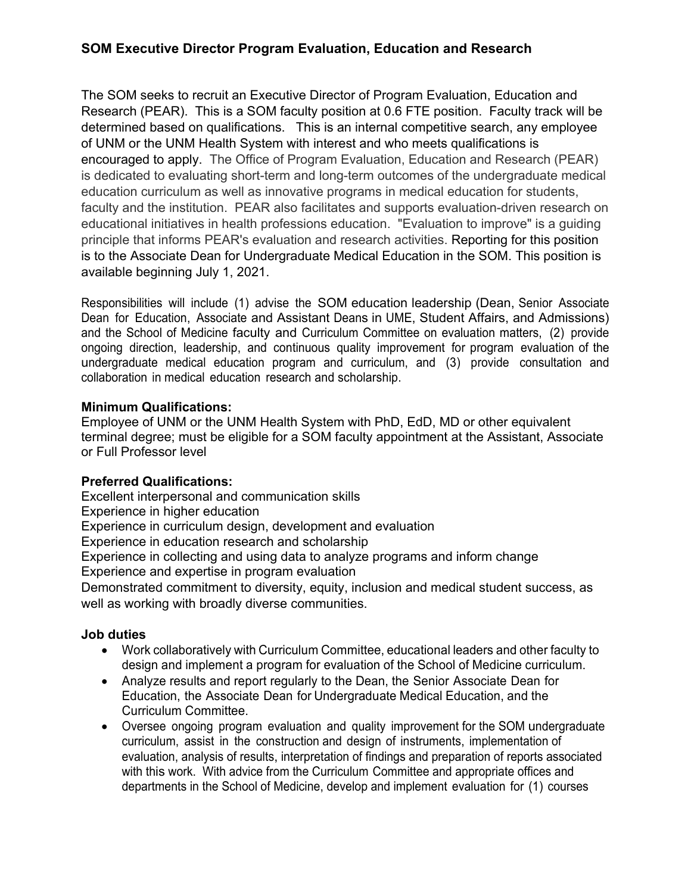# **SOM Executive Director Program Evaluation, Education and Research**

The SOM seeks to recruit an Executive Director of Program Evaluation, Education and Research (PEAR). This is a SOM faculty position at 0.6 FTE position. Faculty track will be determined based on qualifications. This is an internal competitive search, any employee of UNM or the UNM Health System with interest and who meets qualifications is encouraged to apply. The Office of Program Evaluation, Education and Research (PEAR) is dedicated to evaluating short-term and long-term outcomes of the undergraduate medical education curriculum as well as innovative programs in medical education for students, faculty and the institution. PEAR also facilitates and supports evaluation-driven research on educational initiatives in health professions education. "Evaluation to improve" is a guiding principle that informs PEAR's evaluation and research activities. Reporting for this position is to the Associate Dean for Undergraduate Medical Education in the SOM. This position is available beginning July 1, 2021.

Responsibilities will include (1) advise the SOM education leadership (Dean, Senior Associate Dean for Education, Associate and Assistant Deans in UME, Student Affairs, and Admissions) and the School of Medicine faculty and Curriculum Committee on evaluation matters, (2) provide ongoing direction, leadership, and continuous quality improvement for program evaluation of the undergraduate medical education program and curriculum, and (3) provide consultation and collaboration in medical education research and scholarship.

#### **Minimum Qualifications:**

Employee of UNM or the UNM Health System with PhD, EdD, MD or other equivalent terminal degree; must be eligible for a SOM faculty appointment at the Assistant, Associate or Full Professor level

## **Preferred Qualifications:**

Excellent interpersonal and communication skills

Experience in higher education

Experience in curriculum design, development and evaluation

Experience in education research and scholarship

Experience in collecting and using data to analyze programs and inform change Experience and expertise in program evaluation

Demonstrated commitment to diversity, equity, inclusion and medical student success, as well as working with broadly diverse communities.

## **Job duties**

- Work collaboratively with Curriculum Committee, educational leaders and other faculty to design and implement a program for evaluation of the School of Medicine curriculum.
- Analyze results and report regularly to the Dean, the Senior Associate Dean for Education, the Associate Dean for Undergraduate Medical Education, and the Curriculum Committee.
- Oversee ongoing program evaluation and quality improvement for the SOM undergraduate curriculum, assist in the construction and design of instruments, implementation of evaluation, analysis of results, interpretation of findings and preparation of reports associated with this work. With advice from the Curriculum Committee and appropriate offices and departments in the School of Medicine, develop and implement evaluation for (1) courses